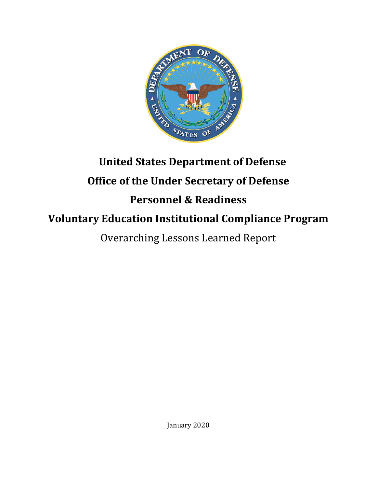

# **United States Department of Defense Office of the Under Secretary of Defense**

# **Personnel & Readiness**

# **Voluntary Education Institutional Compliance Program**

Overarching Lessons Learned Report

January 2020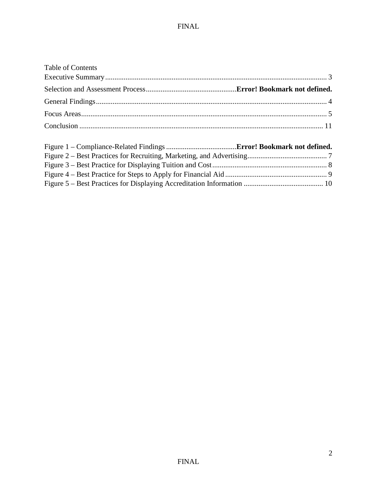| <b>Table of Contents</b> |  |
|--------------------------|--|
|                          |  |
|                          |  |
|                          |  |
|                          |  |
|                          |  |
|                          |  |
|                          |  |
|                          |  |
|                          |  |
|                          |  |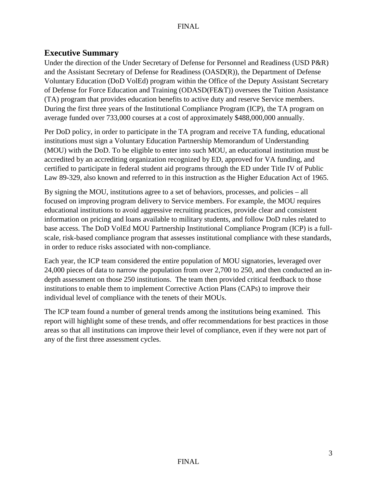# <span id="page-2-0"></span>**Executive Summary**

Under the direction of the Under Secretary of Defense for Personnel and Readiness (USD P&R) and the Assistant Secretary of Defense for Readiness (OASD(R)), the Department of Defense Voluntary Education (DoD VolEd) program within the Office of the Deputy Assistant Secretary of Defense for Force Education and Training (ODASD(FE&T)) oversees the Tuition Assistance (TA) program that provides education benefits to active duty and reserve Service members. During the first three years of the Institutional Compliance Program (ICP), the TA program on average funded over 733,000 courses at a cost of approximately \$488,000,000 annually.

Per DoD policy, in order to participate in the TA program and receive TA funding, educational institutions must sign a Voluntary Education Partnership Memorandum of Understanding (MOU) with the DoD. To be eligible to enter into such MOU, an educational institution must be accredited by an accrediting organization recognized by ED, approved for VA funding, and certified to participate in federal student aid programs through the ED under Title IV of Public Law 89-329, also known and referred to in this instruction as the Higher Education Act of 1965.

By signing the MOU, institutions agree to a set of behaviors, processes, and policies – all focused on improving program delivery to Service members. For example, the MOU requires educational institutions to avoid aggressive recruiting practices, provide clear and consistent information on pricing and loans available to military students, and follow DoD rules related to base access. The DoD VolEd MOU Partnership Institutional Compliance Program (ICP) is a fullscale, risk-based compliance program that assesses institutional compliance with these standards, in order to reduce risks associated with non-compliance.

Each year, the ICP team considered the entire population of MOU signatories, leveraged over 24,000 pieces of data to narrow the population from over 2,700 to 250, and then conducted an indepth assessment on those 250 institutions. The team then provided critical feedback to those institutions to enable them to implement Corrective Action Plans (CAPs) to improve their individual level of compliance with the tenets of their MOUs.

The ICP team found a number of general trends among the institutions being examined. This report will highlight some of these trends, and offer recommendations for best practices in those areas so that all institutions can improve their level of compliance, even if they were not part of any of the first three assessment cycles.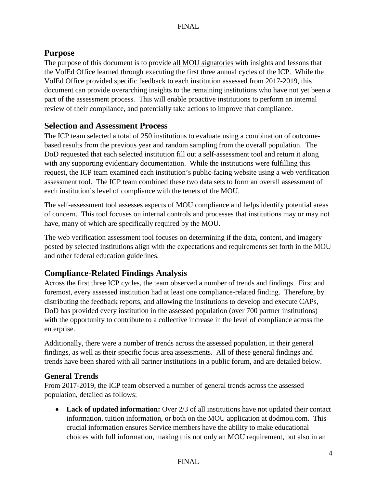# **Purpose**

The purpose of this document is to provide all MOU signatories with insights and lessons that the VolEd Office learned through executing the first three annual cycles of the ICP. While the VolEd Office provided specific feedback to each institution assessed from 2017-2019, this document can provide overarching insights to the remaining institutions who have not yet been a part of the assessment process. This will enable proactive institutions to perform an internal review of their compliance, and potentially take actions to improve that compliance.

# **Selection and Assessment Process**

The ICP team selected a total of 250 institutions to evaluate using a combination of outcomebased results from the previous year and random sampling from the overall population. The DoD requested that each selected institution fill out a self-assessment tool and return it along with any supporting evidentiary documentation. While the institutions were fulfilling this request, the ICP team examined each institution's public-facing website using a web verification assessment tool. The ICP team combined these two data sets to form an overall assessment of each institution's level of compliance with the tenets of the MOU.

The self-assessment tool assesses aspects of MOU compliance and helps identify potential areas of concern. This tool focuses on internal controls and processes that institutions may or may not have, many of which are specifically required by the MOU.

The web verification assessment tool focuses on determining if the data, content, and imagery posted by selected institutions align with the expectations and requirements set forth in the MOU and other federal education guidelines.

# **Compliance-Related Findings Analysis**

Across the first three ICP cycles, the team observed a number of trends and findings. First and foremost, every assessed institution had at least one compliance-related finding. Therefore, by distributing the feedback reports, and allowing the institutions to develop and execute CAPs, DoD has provided every institution in the assessed population (over 700 partner institutions) with the opportunity to contribute to a collective increase in the level of compliance across the enterprise.

Additionally, there were a number of trends across the assessed population, in their general findings, as well as their specific focus area assessments. All of these general findings and trends have been shared with all partner institutions in a public forum, and are detailed below.

# <span id="page-3-0"></span>**General Trends**

From 2017-2019, the ICP team observed a number of general trends across the assessed population, detailed as follows:

• **Lack of updated information:** Over 2/3 of all institutions have not updated their contact information, tuition information, or both on the MOU application at dodmou.com. This crucial information ensures Service members have the ability to make educational choices with full information, making this not only an MOU requirement, but also in an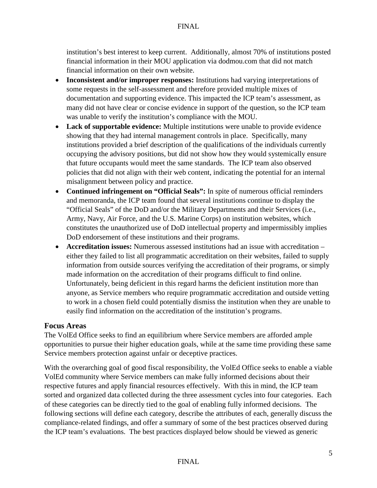institution's best interest to keep current. Additionally, almost 70% of institutions posted financial information in their MOU application via dodmou.com that did not match financial information on their own website.

- **Inconsistent and/or improper responses:** Institutions had varying interpretations of some requests in the self-assessment and therefore provided multiple mixes of documentation and supporting evidence. This impacted the ICP team's assessment, as many did not have clear or concise evidence in support of the question, so the ICP team was unable to verify the institution's compliance with the MOU.
- **Lack of supportable evidence:** Multiple institutions were unable to provide evidence showing that they had internal management controls in place. Specifically, many institutions provided a brief description of the qualifications of the individuals currently occupying the advisory positions, but did not show how they would systemically ensure that future occupants would meet the same standards. The ICP team also observed policies that did not align with their web content, indicating the potential for an internal misalignment between policy and practice.
- **Continued infringement on "Official Seals":** In spite of numerous official reminders and memoranda, the ICP team found that several institutions continue to display the "Official Seals" of the DoD and/or the Military Departments and their Services (i.e., Army, Navy, Air Force, and the U.S. Marine Corps) on institution websites, which constitutes the unauthorized use of DoD intellectual property and impermissibly implies DoD endorsement of these institutions and their programs.
- **Accreditation issues:** Numerous assessed institutions had an issue with accreditation either they failed to list all programmatic accreditation on their websites, failed to supply information from outside sources verifying the accreditation of their programs, or simply made information on the accreditation of their programs difficult to find online. Unfortunately, being deficient in this regard harms the deficient institution more than anyone, as Service members who require programmatic accreditation and outside vetting to work in a chosen field could potentially dismiss the institution when they are unable to easily find information on the accreditation of the institution's programs.

# <span id="page-4-0"></span>**Focus Areas**

The VolEd Office seeks to find an equilibrium where Service members are afforded ample opportunities to pursue their higher education goals, while at the same time providing these same Service members protection against unfair or deceptive practices.

With the overarching goal of good fiscal responsibility, the VolEd Office seeks to enable a viable VolEd community where Service members can make fully informed decisions about their respective futures and apply financial resources effectively. With this in mind, the ICP team sorted and organized data collected during the three assessment cycles into four categories. Each of these categories can be directly tied to the goal of enabling fully informed decisions. The following sections will define each category, describe the attributes of each, generally discuss the compliance-related findings, and offer a summary of some of the best practices observed during the ICP team's evaluations. The best practices displayed below should be viewed as generic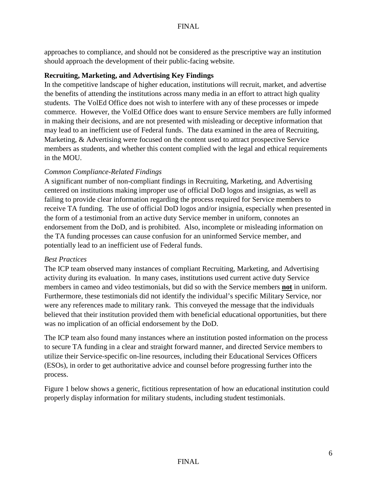approaches to compliance, and should not be considered as the prescriptive way an institution should approach the development of their public-facing website.

#### **Recruiting, Marketing, and Advertising Key Findings**

In the competitive landscape of higher education, institutions will recruit, market, and advertise the benefits of attending the institutions across many media in an effort to attract high quality students. The VolEd Office does not wish to interfere with any of these processes or impede commerce. However, the VolEd Office does want to ensure Service members are fully informed in making their decisions, and are not presented with misleading or deceptive information that may lead to an inefficient use of Federal funds. The data examined in the area of Recruiting, Marketing, & Advertising were focused on the content used to attract prospective Service members as students, and whether this content complied with the legal and ethical requirements in the MOU.

# *Common Compliance-Related Findings*

A significant number of non-compliant findings in Recruiting, Marketing, and Advertising centered on institutions making improper use of official DoD logos and insignias, as well as failing to provide clear information regarding the process required for Service members to receive TA funding. The use of official DoD logos and/or insignia, especially when presented in the form of a testimonial from an active duty Service member in uniform, connotes an endorsement from the DoD, and is prohibited. Also, incomplete or misleading information on the TA funding processes can cause confusion for an uninformed Service member, and potentially lead to an inefficient use of Federal funds.

#### *Best Practices*

The ICP team observed many instances of compliant Recruiting, Marketing, and Advertising activity during its evaluation. In many cases, institutions used current active duty Service members in cameo and video testimonials, but did so with the Service members **not** in uniform. Furthermore, these testimonials did not identify the individual's specific Military Service, nor were any references made to military rank. This conveyed the message that the individuals believed that their institution provided them with beneficial educational opportunities, but there was no implication of an official endorsement by the DoD.

The ICP team also found many instances where an institution posted information on the process to secure TA funding in a clear and straight forward manner, and directed Service members to utilize their Service-specific on-line resources, including their Educational Services Officers (ESOs), in order to get authoritative advice and counsel before progressing further into the process.

Figure 1 below shows a generic, fictitious representation of how an educational institution could properly display information for military students, including student testimonials.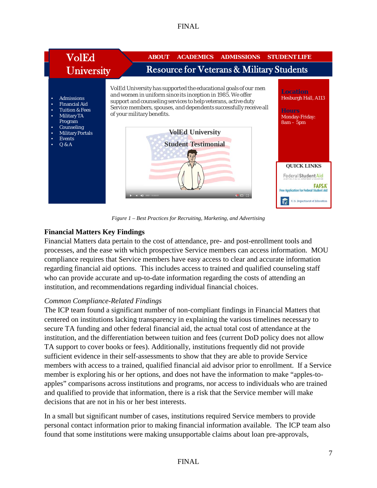

*Figure 1 – Best Practices for Recruiting, Marketing, and Advertising*

# <span id="page-6-0"></span>**Financial Matters Key Findings**

Financial Matters data pertain to the cost of attendance, pre- and post-enrollment tools and processes, and the ease with which prospective Service members can access information. MOU compliance requires that Service members have easy access to clear and accurate information regarding financial aid options. This includes access to trained and qualified counseling staff who can provide accurate and up-to-date information regarding the costs of attending an institution, and recommendations regarding individual financial choices.

# *Common Compliance-Related Findings*

The ICP team found a significant number of non-compliant findings in Financial Matters that centered on institutions lacking transparency in explaining the various timelines necessary to secure TA funding and other federal financial aid, the actual total cost of attendance at the institution, and the differentiation between tuition and fees (current DoD policy does not allow TA support to cover books or fees). Additionally, institutions frequently did not provide sufficient evidence in their self-assessments to show that they are able to provide Service members with access to a trained, qualified financial aid advisor prior to enrollment. If a Service member is exploring his or her options, and does not have the information to make "apples-toapples" comparisons across institutions and programs, nor access to individuals who are trained and qualified to provide that information, there is a risk that the Service member will make decisions that are not in his or her best interests.

In a small but significant number of cases, institutions required Service members to provide personal contact information prior to making financial information available. The ICP team also found that some institutions were making unsupportable claims about loan pre-approvals,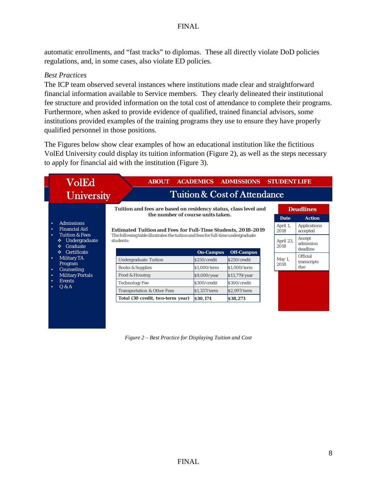automatic enrollments, and "fast tracks" to diplomas. These all directly violate DoD policies regulations, and, in some cases, also violate ED policies.

#### *Best Practices*

The ICP team observed several instances where institutions made clear and straightforward financial information available to Service members. They clearly delineated their institutional fee structure and provided information on the total cost of attendance to complete their programs. Furthermore, when asked to provide evidence of qualified, trained financial advisors, some institutions provided examples of the training programs they use to ensure they have properly qualified personnel in those positions.

The Figures below show clear examples of how an educational institution like the fictitious VolEd University could display its tuition information (Figure 2), as well as the steps necessary to apply for financial aid with the institution (Figure 3).



<span id="page-7-0"></span>*Figure 2 – Best Practice for Displaying Tuition and Cost*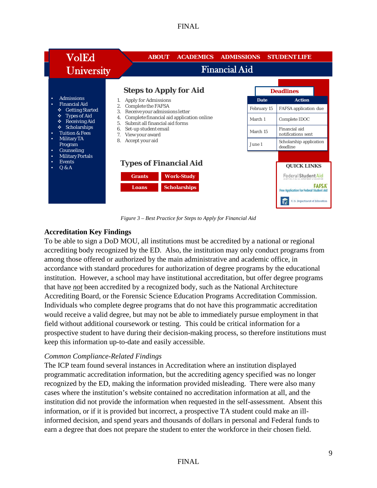| <b>VolEd</b><br><b>University</b>                                                                                                                                                                                                                                                           | <b>ACADEMICS</b><br><b>ABOUT</b><br><b>Financial Aid</b>                                                                                                                                                                                                                                              | <b>ADMISSIONS</b><br><b>STUDENT LIFE</b>                                                                                                                                                                          |
|---------------------------------------------------------------------------------------------------------------------------------------------------------------------------------------------------------------------------------------------------------------------------------------------|-------------------------------------------------------------------------------------------------------------------------------------------------------------------------------------------------------------------------------------------------------------------------------------------------------|-------------------------------------------------------------------------------------------------------------------------------------------------------------------------------------------------------------------|
| <b>Admissions</b><br>٠<br><b>Financial Aid</b><br>٠<br><b>Getting Started</b><br>❖<br><b>Types of Aid</b><br>٠<br><b>Receiving Aid</b><br>٠<br>Scholarships<br>泰<br><b>Tuition &amp; Fees</b><br>۰<br><b>Military TA</b><br>٠<br>Program<br>Counseling<br>٠<br><b>Military Portals</b><br>٠ | <b>Steps to Apply for Aid</b><br>Apply for Admissions<br><b>Complete the FAFSA</b><br>Receive your admissions letter<br>3.<br>Complete financial aid application online<br>4.<br>Submit all financial aid forms<br>5 <sub>1</sub><br>Set-up student email<br>6.<br>View your award<br>Accept your aid | <b>Deadlines</b><br><b>Action</b><br>Date<br>February 15<br>FAFSA application due<br>March 1<br>Complete IDOC<br>Financial aid<br>March 15<br>notifications sent<br>Scholarship application<br>June 1<br>deadline |
| <b>Events</b><br>۰<br>Q & A<br>٠                                                                                                                                                                                                                                                            | <b>Types of Financial Aid</b><br><b>Work-Study</b><br><b>Grants</b><br><b>Scholarships</b><br>Loans                                                                                                                                                                                                   | <b>QUICK LINKS</b><br>Federal Student Aid<br><b>FAFSA</b><br><b>Free Application for Federal Student Aid</b><br>U.S. Department of Education                                                                      |

*Figure 3 – Best Practice for Steps to Apply for Financial Aid*

# <span id="page-8-0"></span>**Accreditation Key Findings**

To be able to sign a DoD MOU, all institutions must be accredited by a national or regional accrediting body recognized by the ED. Also, the institution may only conduct programs from among those offered or authorized by the main administrative and academic office, in accordance with standard procedures for authorization of degree programs by the educational institution. However, a school may have institutional accreditation, but offer degree programs that have *not* been accredited by a recognized body, such as the National Architecture Accrediting Board, or the Forensic Science Education Programs Accreditation Commission. Individuals who complete degree programs that do not have this programmatic accreditation would receive a valid degree, but may not be able to immediately pursue employment in that field without additional coursework or testing. This could be critical information for a prospective student to have during their decision-making process, so therefore institutions must keep this information up-to-date and easily accessible.

# *Common Compliance-Related Findings*

The ICP team found several instances in Accreditation where an institution displayed programmatic accreditation information, but the accrediting agency specified was no longer recognized by the ED, making the information provided misleading. There were also many cases where the institution's website contained no accreditation information at all, and the institution did not provide the information when requested in the self-assessment. Absent this information, or if it is provided but incorrect, a prospective TA student could make an illinformed decision, and spend years and thousands of dollars in personal and Federal funds to earn a degree that does not prepare the student to enter the workforce in their chosen field.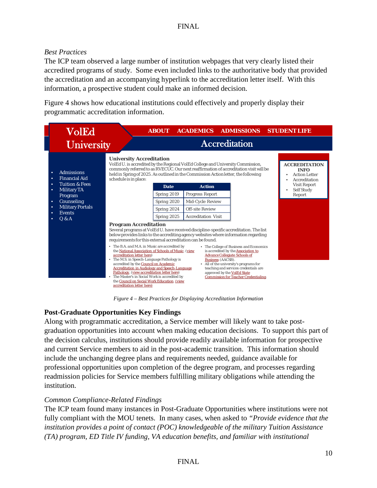# *Best Practices*

The ICP team observed a large number of institution webpages that very clearly listed their accredited programs of study. Some even included links to the authoritative body that provided the accreditation and an accompanying hyperlink to the accreditation letter itself. With this information, a prospective student could make an informed decision.

Figure 4 shows how educational institutions could effectively and properly display their programmatic accreditation information.



*Figure 4 – Best Practices for Displaying Accreditation Information*

# <span id="page-9-0"></span>**Post-Graduate Opportunities Key Findings**

Along with programmatic accreditation, a Service member will likely want to take postgraduation opportunities into account when making education decisions. To support this part of the decision calculus, institutions should provide readily available information for prospective and current Service members to aid in the post-academic transition. This information should include the unchanging degree plans and requirements needed, guidance available for professional opportunities upon completion of the degree program, and processes regarding readmission policies for Service members fulfilling military obligations while attending the institution.

# *Common Compliance-Related Findings*

The ICP team found many instances in Post-Graduate Opportunities where institutions were not fully compliant with the MOU tenets. In many cases, when asked to *"Provide evidence that the institution provides a point of contact (POC) knowledgeable of the military Tuition Assistance (TA) program, ED Title IV funding, VA education benefits, and familiar with institutional*